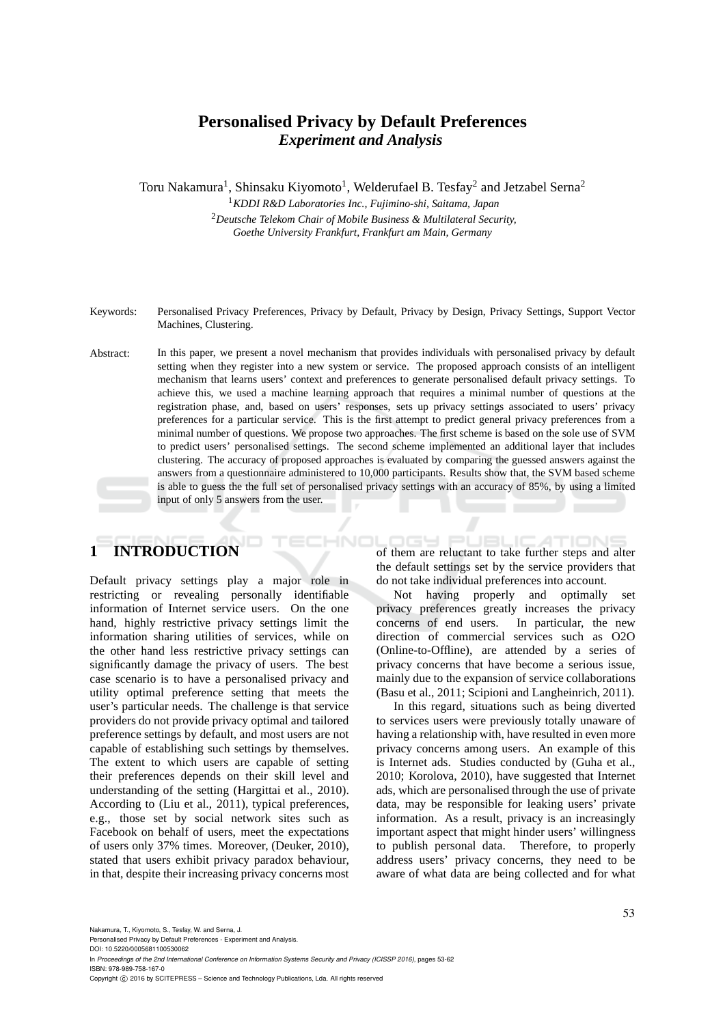## **Personalised Privacy by Default Preferences** *Experiment and Analysis*

Toru Nakamura<sup>1</sup>, Shinsaku Kiyomoto<sup>1</sup>, Welderufael B. Tesfay<sup>2</sup> and Jetzabel Serna<sup>2</sup>

<sup>1</sup>*KDDI R&D Laboratories Inc., Fujimino-shi, Saitama, Japan* <sup>2</sup>*Deutsche Telekom Chair of Mobile Business & Multilateral Security, Goethe University Frankfurt, Frankfurt am Main, Germany*

- Keywords: Personalised Privacy Preferences, Privacy by Default, Privacy by Design, Privacy Settings, Support Vector Machines, Clustering.
- Abstract: In this paper, we present a novel mechanism that provides individuals with personalised privacy by default setting when they register into a new system or service. The proposed approach consists of an intelligent mechanism that learns users' context and preferences to generate personalised default privacy settings. To achieve this, we used a machine learning approach that requires a minimal number of questions at the registration phase, and, based on users' responses, sets up privacy settings associated to users' privacy preferences for a particular service. This is the first attempt to predict general privacy preferences from a minimal number of questions. We propose two approaches. The first scheme is based on the sole use of SVM to predict users' personalised settings. The second scheme implemented an additional layer that includes clustering. The accuracy of proposed approaches is evaluated by comparing the guessed answers against the answers from a questionnaire administered to 10,000 participants. Results show that, the SVM based scheme is able to guess the the full set of personalised privacy settings with an accuracy of 85%, by using a limited input of only 5 answers from the user.

HNC

# **1 INTRODUCTION**

Default privacy settings play a major role in restricting or revealing personally identifiable information of Internet service users. On the one hand, highly restrictive privacy settings limit the information sharing utilities of services, while on the other hand less restrictive privacy settings can significantly damage the privacy of users. The best case scenario is to have a personalised privacy and utility optimal preference setting that meets the user's particular needs. The challenge is that service providers do not provide privacy optimal and tailored preference settings by default, and most users are not capable of establishing such settings by themselves. The extent to which users are capable of setting their preferences depends on their skill level and understanding of the setting (Hargittai et al., 2010). According to (Liu et al., 2011), typical preferences, e.g., those set by social network sites such as Facebook on behalf of users, meet the expectations of users only 37% times. Moreover, (Deuker, 2010), stated that users exhibit privacy paradox behaviour, in that, despite their increasing privacy concerns most of them are reluctant to take further steps and alter the default settings set by the service providers that do not take individual preferences into account.

**JET** 

Not having properly and optimally set privacy preferences greatly increases the privacy concerns of end users. In particular, the new direction of commercial services such as O2O (Online-to-Offline), are attended by a series of privacy concerns that have become a serious issue, mainly due to the expansion of service collaborations (Basu et al., 2011; Scipioni and Langheinrich, 2011).

In this regard, situations such as being diverted to services users were previously totally unaware of having a relationship with, have resulted in even more privacy concerns among users. An example of this is Internet ads. Studies conducted by (Guha et al., 2010; Korolova, 2010), have suggested that Internet ads, which are personalised through the use of private data, may be responsible for leaking users' private information. As a result, privacy is an increasingly important aspect that might hinder users' willingness to publish personal data. Therefore, to properly address users' privacy concerns, they need to be aware of what data are being collected and for what

Nakamura, T., Kiyomoto, S., Tesfay, W. and Serna, J.

Personalised Privacy by Default Preferences - Experiment and Analysis. DOI: 10.5220/0005681100530062

In *Proceedings of the 2nd International Conference on Information Systems Security and Privacy (ICISSP 2016)*, pages 53-62 ISBN: 978-989-758-167-0

Copyright C 2016 by SCITEPRESS – Science and Technology Publications, Lda. All rights reserved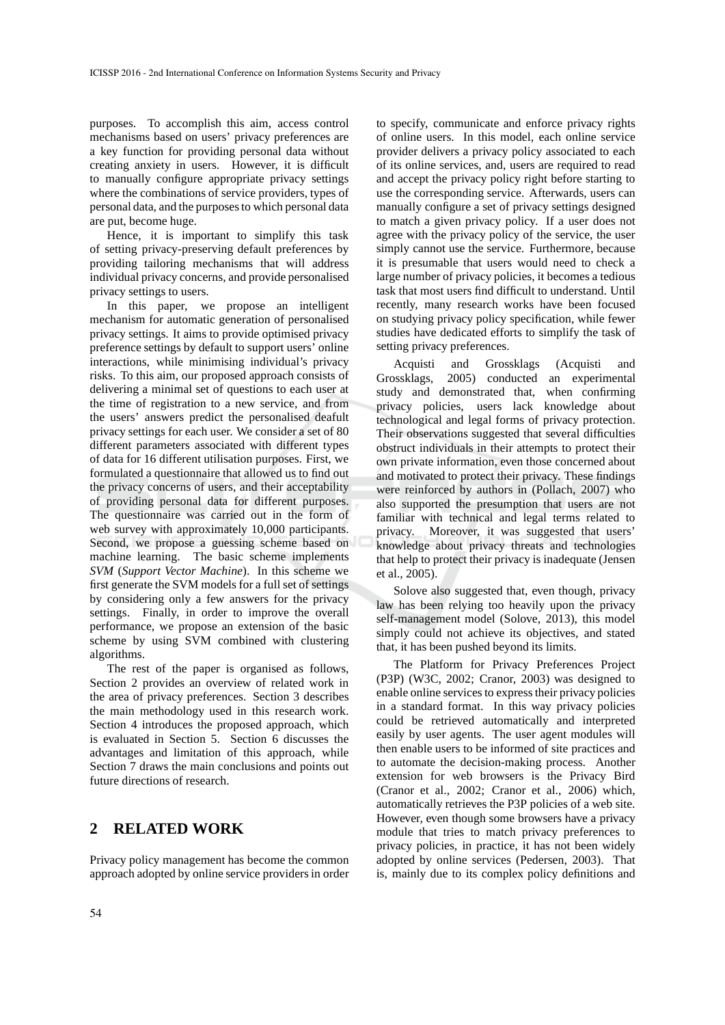purposes. To accomplish this aim, access control mechanisms based on users' privacy preferences are a key function for providing personal data without creating anxiety in users. However, it is difficult to manually configure appropriate privacy settings where the combinations of service providers, types of personal data, and the purposes to which personal data are put, become huge.

Hence, it is important to simplify this task of setting privacy-preserving default preferences by providing tailoring mechanisms that will address individual privacy concerns, and provide personalised privacy settings to users.

In this paper, we propose an intelligent mechanism for automatic generation of personalised privacy settings. It aims to provide optimised privacy preference settings by default to support users' online interactions, while minimising individual's privacy risks. To this aim, our proposed approach consists of delivering a minimal set of questions to each user at the time of registration to a new service, and from the users' answers predict the personalised deafult privacy settings for each user. We consider a set of 80 different parameters associated with different types of data for 16 different utilisation purposes. First, we formulated a questionnaire that allowed us to find out the privacy concerns of users, and their acceptability of providing personal data for different purposes. The questionnaire was carried out in the form of web survey with approximately 10,000 participants. Second, we propose a guessing scheme based on machine learning. The basic scheme implements *SVM* (*Support Vector Machine*). In this scheme we first generate the SVM models for a full set of settings by considering only a few answers for the privacy settings. Finally, in order to improve the overall performance, we propose an extension of the basic scheme by using SVM combined with clustering algorithms.

The rest of the paper is organised as follows, Section 2 provides an overview of related work in the area of privacy preferences. Section 3 describes the main methodology used in this research work. Section 4 introduces the proposed approach, which is evaluated in Section 5. Section 6 discusses the advantages and limitation of this approach, while Section 7 draws the main conclusions and points out future directions of research.

### **2 RELATED WORK**

Privacy policy management has become the common approach adopted by online service providers in order

to specify, communicate and enforce privacy rights of online users. In this model, each online service provider delivers a privacy policy associated to each of its online services, and, users are required to read and accept the privacy policy right before starting to use the corresponding service. Afterwards, users can manually configure a set of privacy settings designed to match a given privacy policy. If a user does not agree with the privacy policy of the service, the user simply cannot use the service. Furthermore, because it is presumable that users would need to check a large number of privacy policies, it becomes a tedious task that most users find difficult to understand. Until recently, many research works have been focused on studying privacy policy specification, while fewer studies have dedicated efforts to simplify the task of setting privacy preferences.

Acquisti and Grossklags (Acquisti and Grossklags, 2005) conducted an experimental study and demonstrated that, when confirming privacy policies, users lack knowledge about technological and legal forms of privacy protection. Their observations suggested that several difficulties obstruct individuals in their attempts to protect their own private information, even those concerned about and motivated to protect their privacy. These findings were reinforced by authors in (Pollach, 2007) who also supported the presumption that users are not familiar with technical and legal terms related to privacy. Moreover, it was suggested that users' knowledge about privacy threats and technologies that help to protect their privacy is inadequate (Jensen et al., 2005).

Solove also suggested that, even though, privacy law has been relying too heavily upon the privacy self-management model (Solove, 2013), this model simply could not achieve its objectives, and stated that, it has been pushed beyond its limits.

The Platform for Privacy Preferences Project (P3P) (W3C, 2002; Cranor, 2003) was designed to enable online services to express their privacy policies in a standard format. In this way privacy policies could be retrieved automatically and interpreted easily by user agents. The user agent modules will then enable users to be informed of site practices and to automate the decision-making process. Another extension for web browsers is the Privacy Bird (Cranor et al., 2002; Cranor et al., 2006) which, automatically retrieves the P3P policies of a web site. However, even though some browsers have a privacy module that tries to match privacy preferences to privacy policies, in practice, it has not been widely adopted by online services (Pedersen, 2003). That is, mainly due to its complex policy definitions and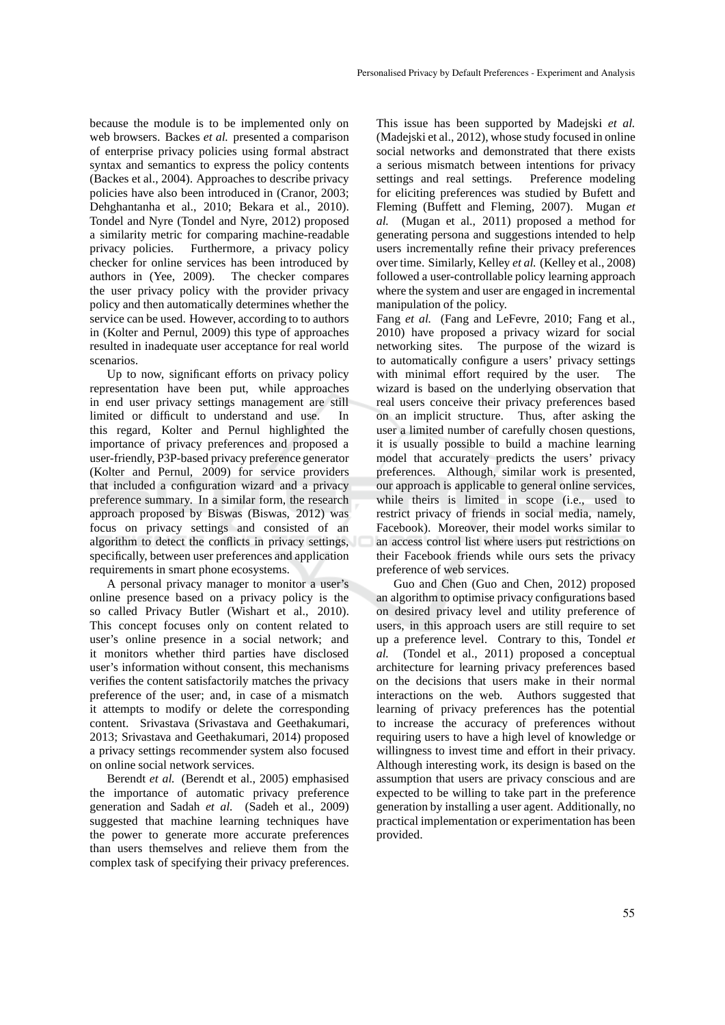because the module is to be implemented only on web browsers. Backes *et al.* presented a comparison of enterprise privacy policies using formal abstract syntax and semantics to express the policy contents (Backes et al., 2004). Approaches to describe privacy policies have also been introduced in (Cranor, 2003; Dehghantanha et al., 2010; Bekara et al., 2010). Tondel and Nyre (Tondel and Nyre, 2012) proposed a similarity metric for comparing machine-readable privacy policies. Furthermore, a privacy policy checker for online services has been introduced by authors in (Yee, 2009). The checker compares the user privacy policy with the provider privacy policy and then automatically determines whether the service can be used. However, according to to authors in (Kolter and Pernul, 2009) this type of approaches resulted in inadequate user acceptance for real world scenarios.

Up to now, significant efforts on privacy policy representation have been put, while approaches in end user privacy settings management are still limited or difficult to understand and use. In this regard, Kolter and Pernul highlighted the importance of privacy preferences and proposed a user-friendly, P3P-based privacy preference generator (Kolter and Pernul, 2009) for service providers that included a configuration wizard and a privacy preference summary. In a similar form, the research approach proposed by Biswas (Biswas, 2012) was focus on privacy settings and consisted of an algorithm to detect the conflicts in privacy settings, specifically, between user preferences and application requirements in smart phone ecosystems.

A personal privacy manager to monitor a user's online presence based on a privacy policy is the so called Privacy Butler (Wishart et al., 2010). This concept focuses only on content related to user's online presence in a social network; and it monitors whether third parties have disclosed user's information without consent, this mechanisms verifies the content satisfactorily matches the privacy preference of the user; and, in case of a mismatch it attempts to modify or delete the corresponding content. Srivastava (Srivastava and Geethakumari, 2013; Srivastava and Geethakumari, 2014) proposed a privacy settings recommender system also focused on online social network services.

Berendt *et al.* (Berendt et al., 2005) emphasised the importance of automatic privacy preference generation and Sadah *et al.* (Sadeh et al., 2009) suggested that machine learning techniques have the power to generate more accurate preferences than users themselves and relieve them from the complex task of specifying their privacy preferences.

This issue has been supported by Madejski *et al.* (Madejski et al., 2012), whose study focused in online social networks and demonstrated that there exists a serious mismatch between intentions for privacy settings and real settings. Preference modeling for eliciting preferences was studied by Bufett and Fleming (Buffett and Fleming, 2007). Mugan *et al.* (Mugan et al., 2011) proposed a method for generating persona and suggestions intended to help users incrementally refine their privacy preferences over time. Similarly, Kelley *et al.* (Kelley et al., 2008) followed a user-controllable policy learning approach where the system and user are engaged in incremental manipulation of the policy.

Fang *et al.* (Fang and LeFevre, 2010; Fang et al., 2010) have proposed a privacy wizard for social networking sites. The purpose of the wizard is to automatically configure a users' privacy settings with minimal effort required by the user. The wizard is based on the underlying observation that real users conceive their privacy preferences based on an implicit structure. Thus, after asking the user a limited number of carefully chosen questions, it is usually possible to build a machine learning model that accurately predicts the users' privacy preferences. Although, similar work is presented, our approach is applicable to general online services, while theirs is limited in scope (i.e., used to restrict privacy of friends in social media, namely, Facebook). Moreover, their model works similar to an access control list where users put restrictions on their Facebook friends while ours sets the privacy preference of web services.

Guo and Chen (Guo and Chen, 2012) proposed an algorithm to optimise privacy configurations based on desired privacy level and utility preference of users, in this approach users are still require to set up a preference level. Contrary to this, Tondel *et al.* (Tondel et al., 2011) proposed a conceptual architecture for learning privacy preferences based on the decisions that users make in their normal interactions on the web. Authors suggested that learning of privacy preferences has the potential to increase the accuracy of preferences without requiring users to have a high level of knowledge or willingness to invest time and effort in their privacy. Although interesting work, its design is based on the assumption that users are privacy conscious and are expected to be willing to take part in the preference generation by installing a user agent. Additionally, no practical implementation or experimentation has been provided.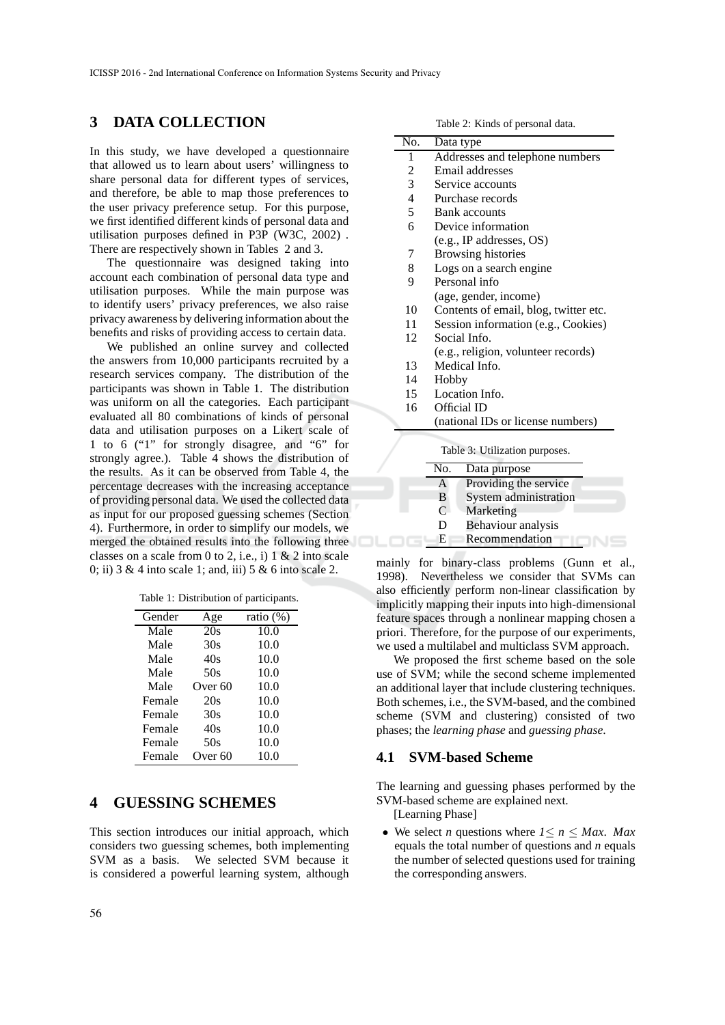### **3 DATA COLLECTION**

In this study, we have developed a questionnaire that allowed us to learn about users' willingness to share personal data for different types of services, and therefore, be able to map those preferences to the user privacy preference setup. For this purpose, we first identified different kinds of personal data and utilisation purposes defined in P3P (W3C, 2002) . There are respectively shown in Tables 2 and 3.

The questionnaire was designed taking into account each combination of personal data type and utilisation purposes. While the main purpose was to identify users' privacy preferences, we also raise privacy awareness by delivering information about the benefits and risks of providing access to certain data.

We published an online survey and collected the answers from 10,000 participants recruited by a research services company. The distribution of the participants was shown in Table 1. The distribution was uniform on all the categories. Each participant evaluated all 80 combinations of kinds of personal data and utilisation purposes on a Likert scale of 1 to 6 ("1" for strongly disagree, and "6" for strongly agree.). Table 4 shows the distribution of the results. As it can be observed from Table 4, the percentage decreases with the increasing acceptance of providing personal data. We used the collected data as input for our proposed guessing schemes (Section 4). Furthermore, in order to simplify our models, we merged the obtained results into the following three classes on a scale from 0 to 2, i.e., i)  $1 \& 2$  into scale 0; ii)  $3 \& 4$  into scale 1; and, iii)  $5 \& 6$  into scale 2.

| Table 1: Distribution of participants. |  |
|----------------------------------------|--|
|----------------------------------------|--|

| Gender | Age     | ratio (%) |
|--------|---------|-----------|
| Male   | 20s     | 10.0      |
| Male   | 30s     | 10.0      |
| Male   | 40s     | 10.0      |
| Male   | 50s     | 10.0      |
| Male   | Over 60 | 10.0      |
| Female | 20s     | 10.0      |
| Female | 30s     | 10.0      |
| Female | 40s     | 10.0      |
| Female | 50s     | 10.0      |
| Female | Over 60 | 10.0      |

#### **4 GUESSING SCHEMES**

This section introduces our initial approach, which considers two guessing schemes, both implementing SVM as a basis. We selected SVM because it is considered a powerful learning system, although

(e.g., IP addresses, OS) 7 Browsing histories 8 Logs on a search engine 9 Personal info (age, gender, income) 10 Contents of email, blog, twitter etc. 11 Session information (e.g., Cookies) 12 Social Info. (e.g., religion, volunteer records) 13 Medical Info. 14 Hobby 15 Location Info. 16 Official ID (national IDs or license numbers)

No. Data type

2 Email addresses 3 Service accounts 4 Purchase records 5 Bank accounts 6 Device information

Table 3: Utilization purposes.

Table 2: Kinds of personal data.

1 Addresses and telephone numbers

| No. | Data purpose          |
|-----|-----------------------|
| A   | Providing the service |
| B   | System administration |
| C   | Marketing             |
| D   | Behaviour analysis    |
| E   | Recommendation        |

mainly for binary-class problems (Gunn et al., 1998). Nevertheless we consider that SVMs can also efficiently perform non-linear classification by implicitly mapping their inputs into high-dimensional feature spaces through a nonlinear mapping chosen a priori. Therefore, for the purpose of our experiments, we used a multilabel and multiclass SVM approach.

We proposed the first scheme based on the sole use of SVM; while the second scheme implemented an additional layer that include clustering techniques. Both schemes, i.e., the SVM-based, and the combined scheme (SVM and clustering) consisted of two phases; the *learning phase* and *guessing phase*.

#### **4.1 SVM-based Scheme**

The learning and guessing phases performed by the SVM-based scheme are explained next.

[Learning Phase]

• We select *n* questions where  $1 \le n \le Max$ . *Max*. equals the total number of questions and *n* equals the number of selected questions used for training the corresponding answers.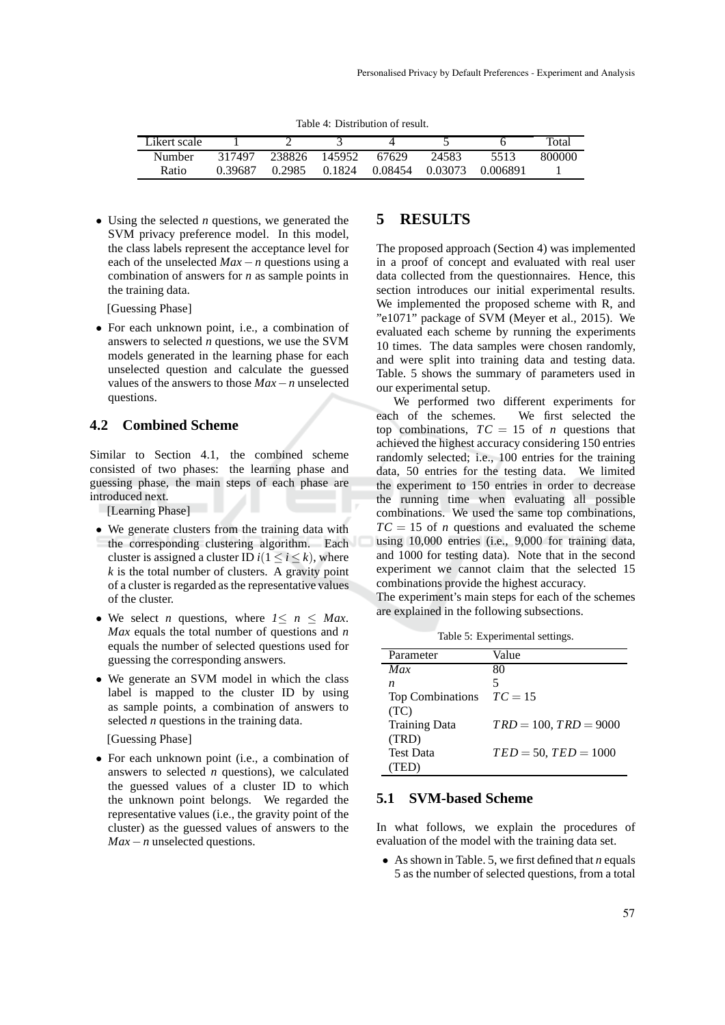Table 4: Distribution of result.

| Likert scale |         |        |        |         |         |          | Total  |
|--------------|---------|--------|--------|---------|---------|----------|--------|
| Number       | 317497  | 238826 | 145952 | 67629   | 24583   | 5513     | 800000 |
| Ratio        | 0.39687 | 0.2985 | 0.1824 | 0.08454 | 0.03073 | 0.006891 |        |

• Using the selected *n* questions, we generated the SVM privacy preference model. In this model, the class labels represent the acceptance level for each of the unselected  $Max - n$  questions using a combination of answers for *n* as sample points in the training data.

[Guessing Phase]

• For each unknown point, i.e., a combination of answers to selected *n* questions, we use the SVM models generated in the learning phase for each unselected question and calculate the guessed values of the answers to those *Max*−*n* unselected questions.

#### **4.2 Combined Scheme**

Similar to Section 4.1, the combined scheme consisted of two phases: the learning phase and guessing phase, the main steps of each phase are introduced next.

[Learning Phase]

- We generate clusters from the training data with the corresponding clustering algorithm. Each cluster is assigned a cluster ID  $i(1 \le i \le k)$ , where  $k$  is the total number of clusters. A gravity point of a cluster is regarded as the representative values of the cluster.
- We select *n* questions, where  $1 \le n \le Max$ . *Max* equals the total number of questions and *n* equals the number of selected questions used for guessing the corresponding answers.
- We generate an SVM model in which the class label is mapped to the cluster ID by using as sample points, a combination of answers to selected *n* questions in the training data.

[Guessing Phase]

• For each unknown point (i.e., a combination of answers to selected *n* questions), we calculated the guessed values of a cluster ID to which the unknown point belongs. We regarded the representative values (i.e., the gravity point of the cluster) as the guessed values of answers to the *Max* − *n* unselected questions.

#### **5 RESULTS**

The proposed approach (Section 4) was implemented in a proof of concept and evaluated with real user data collected from the questionnaires. Hence, this section introduces our initial experimental results. We implemented the proposed scheme with R, and "e1071" package of SVM (Meyer et al., 2015). We evaluated each scheme by running the experiments 10 times. The data samples were chosen randomly, and were split into training data and testing data. Table. 5 shows the summary of parameters used in our experimental setup.

We performed two different experiments for each of the schemes. We first selected the top combinations,  $TC = 15$  of *n* questions that achieved the highest accuracy considering 150 entries randomly selected; i.e., 100 entries for the training data, 50 entries for the testing data. We limited the experiment to 150 entries in order to decrease the running time when evaluating all possible combinations. We used the same top combinations,  $TC = 15$  of *n* questions and evaluated the scheme using 10,000 entries (i.e., 9,000 for training data, and 1000 for testing data). Note that in the second experiment we cannot claim that the selected 15 combinations provide the highest accuracy.

The experiment's main steps for each of the schemes are explained in the following subsections.

Table 5: Experimental settings.

| Parameter               | Value                   |
|-------------------------|-------------------------|
| Max                     | 80                      |
| n.                      | 5                       |
| <b>Top Combinations</b> | $TC = 15$               |
| (TC)                    |                         |
| <b>Training Data</b>    | $TRD = 100, TRD = 9000$ |
| (TRD)                   |                         |
| <b>Test Data</b>        | $TED = 50, TED = 1000$  |
| [ED)                    |                         |

#### **5.1 SVM-based Scheme**

In what follows, we explain the procedures of evaluation of the model with the training data set.

• As shown in Table. 5, we first defined that *n* equals 5 as the number of selected questions, from a total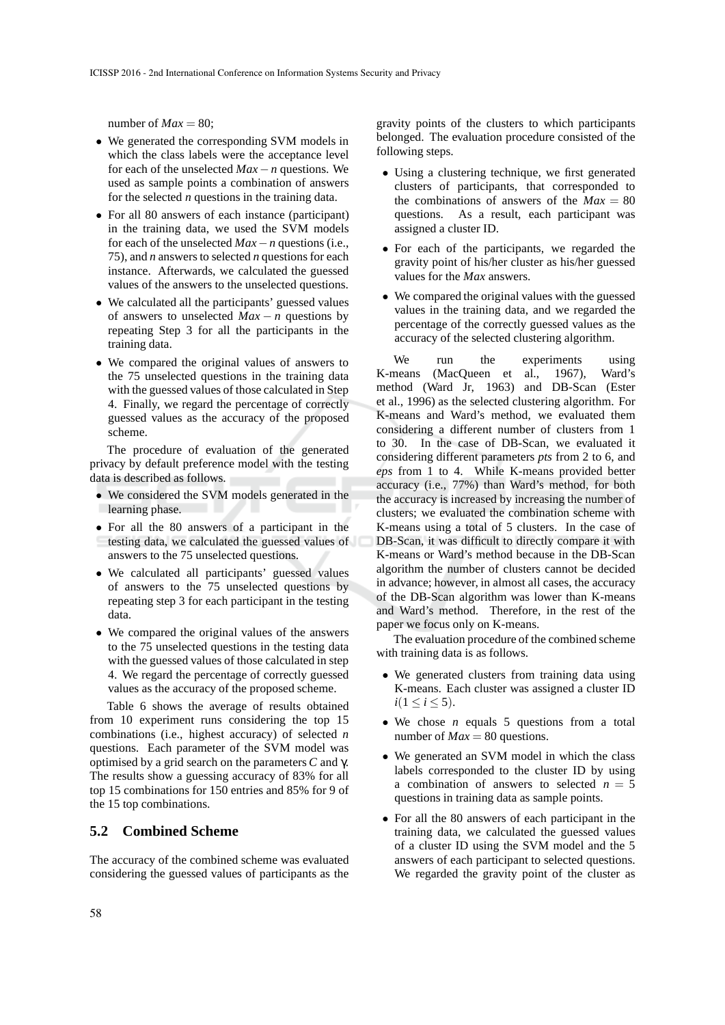number of  $Max = 80$ :

- We generated the corresponding SVM models in which the class labels were the acceptance level for each of the unselected *Max*−*n* questions. We used as sample points a combination of answers for the selected *n* questions in the training data.
- For all 80 answers of each instance (participant) in the training data, we used the SVM models for each of the unselected *Max*−*n* questions (i.e., 75), and *n* answers to selected *n* questions for each instance. Afterwards, we calculated the guessed values of the answers to the unselected questions.
- We calculated all the participants' guessed values of answers to unselected  $Max - n$  questions by repeating Step 3 for all the participants in the training data.
- We compared the original values of answers to the 75 unselected questions in the training data with the guessed values of those calculated in Step 4. Finally, we regard the percentage of correctly guessed values as the accuracy of the proposed scheme.

The procedure of evaluation of the generated privacy by default preference model with the testing data is described as follows.

- We considered the SVM models generated in the learning phase learning phase.
- For all the 80 answers of a participant in the testing data, we calculated the guessed values of answers to the 75 unselected questions.
- We calculated all participants' guessed values of answers to the 75 unselected questions by repeating step 3 for each participant in the testing data.
- We compared the original values of the answers to the 75 unselected questions in the testing data with the guessed values of those calculated in step 4. We regard the percentage of correctly guessed values as the accuracy of the proposed scheme.

Table 6 shows the average of results obtained from 10 experiment runs considering the top 15 combinations (i.e., highest accuracy) of selected *n* questions. Each parameter of the SVM model was optimised by a grid search on the parameters *C* and γ. The results show a guessing accuracy of 83% for all top 15 combinations for 150 entries and 85% for 9 of the 15 top combinations.

#### **5.2 Combined Scheme**

The accuracy of the combined scheme was evaluated considering the guessed values of participants as the gravity points of the clusters to which participants belonged. The evaluation procedure consisted of the following steps.

- Using a clustering technique, we first generated clusters of participants, that corresponded to the combinations of answers of the  $Max = 80$ questions. As a result, each participant was assigned a cluster ID.
- For each of the participants, we regarded the gravity point of his/her cluster as his/her guessed values for the *Max* answers.
- We compared the original values with the guessed values in the training data, and we regarded the percentage of the correctly guessed values as the accuracy of the selected clustering algorithm.

We run the experiments using K-means (MacQueen et al., 1967), Ward's method (Ward Jr, 1963) and DB-Scan (Ester et al., 1996) as the selected clustering algorithm. For K-means and Ward's method, we evaluated them considering a different number of clusters from 1 to 30. In the case of DB-Scan, we evaluated it considering different parameters *pts* from 2 to 6, and *eps* from 1 to 4. While K-means provided better accuracy (i.e., 77%) than Ward's method, for both the accuracy is increased by increasing the number of clusters; we evaluated the combination scheme with K-means using a total of 5 clusters. In the case of DB-Scan, it was difficult to directly compare it with K-means or Ward's method because in the DB-Scan algorithm the number of clusters cannot be decided in advance; however, in almost all cases, the accuracy of the DB-Scan algorithm was lower than K-means and Ward's method. Therefore, in the rest of the paper we focus only on K-means.

The evaluation procedure of the combined scheme with training data is as follows.

- We generated clusters from training data using K-means. Each cluster was assigned a cluster ID  $i(1 \leq i \leq 5)$ .
- We chose *n* equals 5 questions from a total number of  $Max = 80$  questions.
- We generated an SVM model in which the class labels corresponded to the cluster ID by using a combination of answers to selected  $n = 5$ questions in training data as sample points.
- For all the 80 answers of each participant in the training data, we calculated the guessed values of a cluster ID using the SVM model and the 5 answers of each participant to selected questions. We regarded the gravity point of the cluster as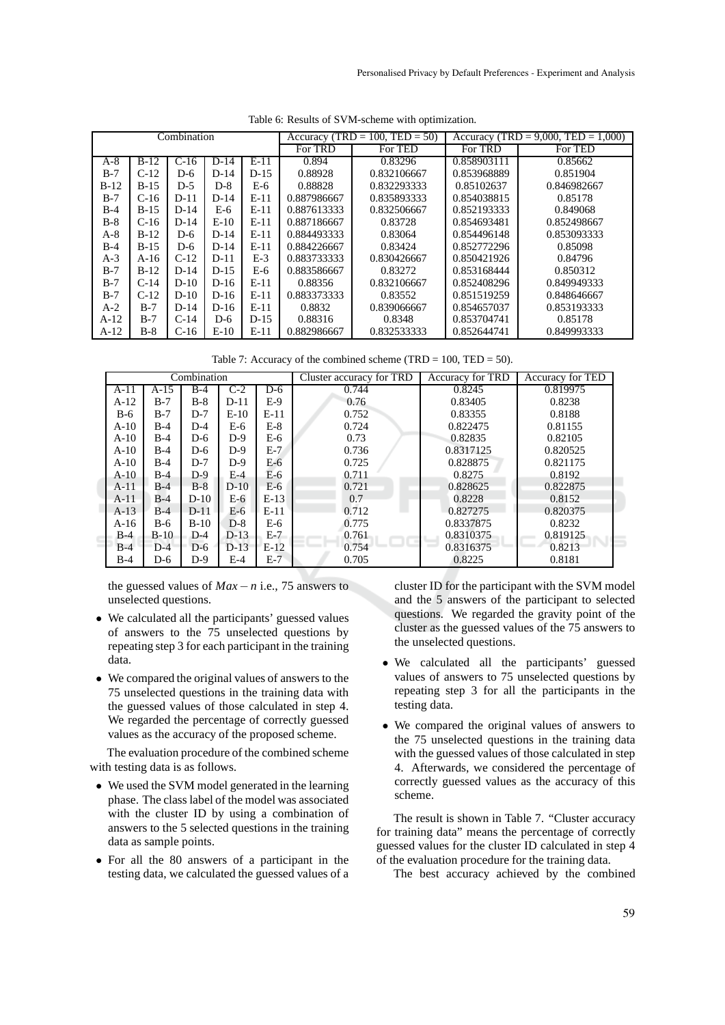| Combination |        |        |        |        | Accuracy (TRD = $100$ , TED = $50$ ) |             | Accuracy (TRD = $9,000$ , TED = $1,000$ ) |             |
|-------------|--------|--------|--------|--------|--------------------------------------|-------------|-------------------------------------------|-------------|
|             |        |        |        |        | For TRD                              | For TED     | For TRD                                   | For TED     |
| $A-8$       | $B-12$ | $C-16$ | D-14   | $E-11$ | 0.894                                | 0.83296     | 0.858903111                               | 0.85662     |
| $B-7$       | $C-12$ | $D-6$  | $D-14$ | $D-15$ | 0.88928                              | 0.832106667 | 0.853968889                               | 0.851904    |
| $B-12$      | $B-15$ | $D-5$  | $D-8$  | E-6    | 0.88828                              | 0.832293333 | 0.85102637                                | 0.846982667 |
| $B-7$       | $C-16$ | $D-11$ | $D-14$ | $E-11$ | 0.887986667                          | 0.835893333 | 0.854038815                               | 0.85178     |
| $B-4$       | $B-15$ | $D-14$ | E-6    | $E-11$ | 0.887613333                          | 0.832506667 | 0.852193333                               | 0.849068    |
| $B-8$       | $C-16$ | $D-14$ | $E-10$ | $E-11$ | 0.887186667                          | 0.83728     | 0.854693481                               | 0.852498667 |
| $A-8$       | $B-12$ | $D-6$  | $D-14$ | $E-11$ | 0.884493333                          | 0.83064     | 0.854496148                               | 0.853093333 |
| $B-4$       | $B-15$ | $D-6$  | $D-14$ | $E-11$ | 0.884226667                          | 0.83424     | 0.852772296                               | 0.85098     |
| $A-3$       | $A-16$ | $C-12$ | $D-11$ | $E-3$  | 0.883733333                          | 0.830426667 | 0.850421926                               | 0.84796     |
| $B-7$       | $B-12$ | $D-14$ | $D-15$ | E-6    | 0.883586667                          | 0.83272     | 0.853168444                               | 0.850312    |
| $B-7$       | $C-14$ | $D-10$ | D-16   | $E-11$ | 0.88356                              | 0.832106667 | 0.852408296                               | 0.849949333 |
| $B-7$       | $C-12$ | $D-10$ | $D-16$ | $E-11$ | 0.883373333                          | 0.83552     | 0.851519259                               | 0.848646667 |
| $A-2$       | $B-7$  | $D-14$ | D-16   | $E-11$ | 0.8832                               | 0.839066667 | 0.854657037                               | 0.853193333 |
| $A-12$      | $B-7$  | $C-14$ | $D-6$  | $D-15$ | 0.88316                              | 0.8348      | 0.853704741                               | 0.85178     |
| $A-12$      | $B-8$  | $C-16$ | $E-10$ | $E-11$ | 0.882986667                          | 0.832533333 | 0.852644741                               | 0.849993333 |

Table 6: Results of SVM-scheme with optimization.

Table 7: Accuracy of the combined scheme (TRD =  $100$ , TED =  $50$ ).

| Combination |        |        |        | Cluster accuracy for TRD | Accuracy for TRD | Accuracy for TED |          |
|-------------|--------|--------|--------|--------------------------|------------------|------------------|----------|
| $A-11$      | $A-15$ | $B-4$  | $C-2$  | $D-6$                    | 0.744            | 0.8245           | 0.819975 |
| $A-12$      | $B-7$  | $B-8$  | $D-11$ | $E-9$                    | 0.76             | 0.83405          | 0.8238   |
| $B-6$       | $B-7$  | $D-7$  | $E-10$ | $E-11$                   | 0.752            | 0.83355          | 0.8188   |
| $A-10$      | $B-4$  | $D-4$  | E-6    | $E-8$                    | 0.724            | 0.822475         | 0.81155  |
| $A-10$      | $B-4$  | $D-6$  | $D-9$  | $E-6$                    | 0.73             | 0.82835          | 0.82105  |
| $A-10$      | $B-4$  | $D-6$  | $D-9$  | $E-7$                    | 0.736            | 0.8317125        | 0.820525 |
| $A-10$      | $B-4$  | $D-7$  | $D-9$  | $E-6$                    | 0.725            | 0.828875         | 0.821175 |
| $A-10$      | $B-4$  | $D-9$  | $E-4$  | E-6                      | 0.711            | 0.8275           | 0.8192   |
| $A-11$      | $B-4$  | $B-8$  | $D-10$ | E-6                      | 0.721            | 0.828625         | 0.822875 |
| $A-11$      | $B-4$  | $D-10$ | $E-6$  | $E-13$                   | 0.7              | 0.8228           | 0.8152   |
| $A-13$      | $B-4$  | $D-11$ | $E-6$  | $E-11$                   | 0.712            | 0.827275         | 0.820375 |
| $A-16$      | $B-6$  | $B-10$ | $D-8$  | E-6                      | 0.775            | 0.8337875        | 0.8232   |
| $B-4$       | $B-10$ | $D-4$  | $D-13$ | $E-7$                    | 0.761            | 0.8310375        | 0.819125 |
| $B-4$       | $D-4$  | $D-6$  | $D-13$ | $E-12$                   | 0.754            | 0.8316375        | 0.8213   |
| $B-4$       | $D-6$  | $D-9$  | $E-4$  | $E-7$                    | 0.705            | 0.8225           | 0.8181   |

the guessed values of  $Max - n$  i.e., 75 answers to unselected questions.

- We calculated all the participants' guessed values of answers to the 75 unselected questions by repeating step 3 for each participant in the training data.
- We compared the original values of answers to the 75 unselected questions in the training data with the guessed values of those calculated in step 4. We regarded the percentage of correctly guessed values as the accuracy of the proposed scheme.

The evaluation procedure of the combined scheme with testing data is as follows.

- We used the SVM model generated in the learning phase. The class label of the model was associated with the cluster ID by using a combination of answers to the 5 selected questions in the training data as sample points.
- For all the 80 answers of a participant in the testing data, we calculated the guessed values of a

cluster ID for the participant with the SVM model and the 5 answers of the participant to selected questions. We regarded the gravity point of the cluster as the guessed values of the 75 answers to the unselected questions.

- We calculated all the participants' guessed values of answers to 75 unselected questions by repeating step 3 for all the participants in the testing data.
- We compared the original values of answers to the 75 unselected questions in the training data with the guessed values of those calculated in step 4. Afterwards, we considered the percentage of correctly guessed values as the accuracy of this scheme.

The result is shown in Table 7. "Cluster accuracy for training data" means the percentage of correctly guessed values for the cluster ID calculated in step 4 of the evaluation procedure for the training data.

The best accuracy achieved by the combined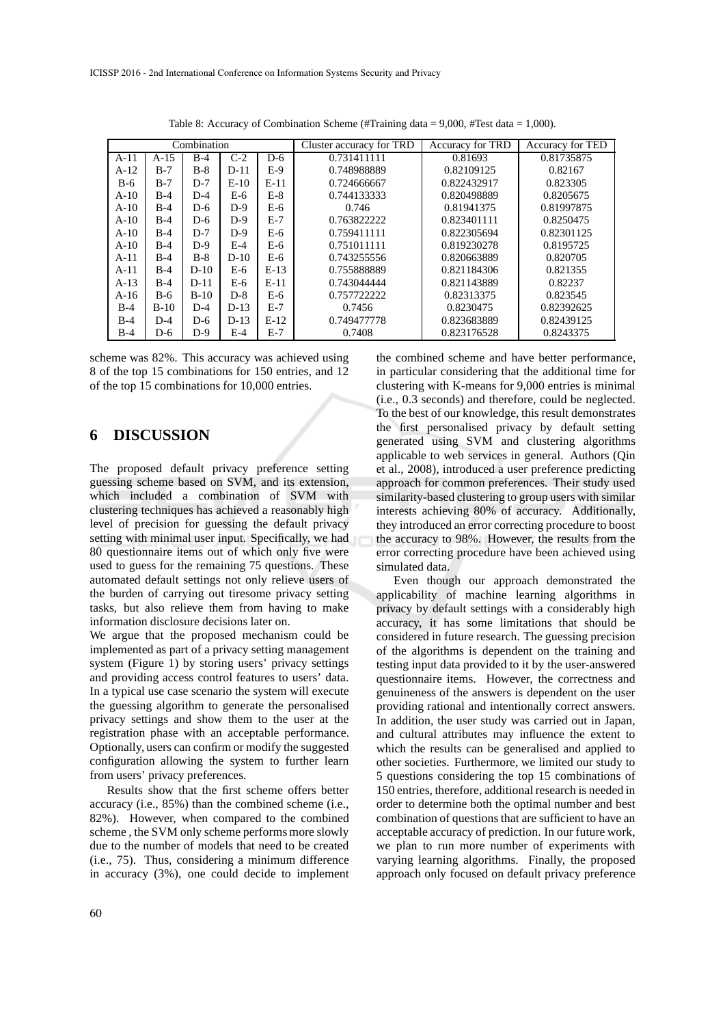| Combination |        |        |        | Cluster accuracy for TRD | Accuracy for TRD | Accuracy for TED |            |
|-------------|--------|--------|--------|--------------------------|------------------|------------------|------------|
| $A-11$      | $A-15$ | $B-4$  | $C-2$  | $D-6$                    | 0.731411111      | 0.81693          | 0.81735875 |
| $A-12$      | $B-7$  | $B-8$  | $D-11$ | $E-9$                    | 0.748988889      | 0.82109125       | 0.82167    |
| $B-6$       | $B-7$  | $D-7$  | $E-10$ | $E-11$                   | 0.724666667      | 0.822432917      | 0.823305   |
| $A-10$      | $B-4$  | $D-4$  | $E-6$  | $E-8$                    | 0.744133333      | 0.820498889      | 0.8205675  |
| $A-10$      | $B-4$  | $D-6$  | $D-9$  | $E-6$                    | 0.746            | 0.81941375       | 0.81997875 |
| $A-10$      | $B-4$  | $D-6$  | $D-9$  | $E-7$                    | 0.763822222      | 0.823401111      | 0.8250475  |
| $A-10$      | $B-4$  | $D-7$  | $D-9$  | $E-6$                    | 0.759411111      | 0.822305694      | 0.82301125 |
| $A-10$      | $B-4$  | $D-9$  | $E-4$  | $E-6$                    | 0.751011111      | 0.819230278      | 0.8195725  |
| $A-11$      | $B-4$  | $B-8$  | $D-10$ | $E-6$                    | 0.743255556      | 0.820663889      | 0.820705   |
| $A-11$      | $B-4$  | $D-10$ | $E-6$  | $E-13$                   | 0.755888889      | 0.821184306      | 0.821355   |
| $A-13$      | $B-4$  | $D-11$ | $E-6$  | $E-11$                   | 0.743044444      | 0.821143889      | 0.82237    |
| $A-16$      | $B-6$  | $B-10$ | $D-8$  | $E-6$                    | 0.757722222      | 0.82313375       | 0.823545   |
| $B-4$       | $B-10$ | $D-4$  | $D-13$ | $E-7$                    | 0.7456           | 0.8230475        | 0.82392625 |
| $B-4$       | $D-4$  | $D-6$  | $D-13$ | $E-12$                   | 0.749477778      | 0.823683889      | 0.82439125 |
| $B-4$       | $D-6$  | $D-9$  | $E-4$  | $E-7$                    | 0.7408           | 0.823176528      | 0.8243375  |

Table 8: Accuracy of Combination Scheme (#Training data = 9,000, #Test data = 1,000).

scheme was 82%. This accuracy was achieved using 8 of the top 15 combinations for 150 entries, and 12 of the top 15 combinations for 10,000 entries.

### **6 DISCUSSION**

The proposed default privacy preference setting guessing scheme based on SVM, and its extension, which included a combination of SVM with clustering techniques has achieved a reasonably high level of precision for guessing the default privacy setting with minimal user input. Specifically, we had 80 questionnaire items out of which only five were used to guess for the remaining 75 questions. These automated default settings not only relieve users of the burden of carrying out tiresome privacy setting tasks, but also relieve them from having to make information disclosure decisions later on.

We argue that the proposed mechanism could be implemented as part of a privacy setting management system (Figure 1) by storing users' privacy settings and providing access control features to users' data. In a typical use case scenario the system will execute the guessing algorithm to generate the personalised privacy settings and show them to the user at the registration phase with an acceptable performance. Optionally, users can confirm or modify the suggested configuration allowing the system to further learn from users' privacy preferences.

Results show that the first scheme offers better accuracy (i.e., 85%) than the combined scheme (i.e., 82%). However, when compared to the combined scheme , the SVM only scheme performs more slowly due to the number of models that need to be created (i.e., 75). Thus, considering a minimum difference in accuracy (3%), one could decide to implement

the combined scheme and have better performance, in particular considering that the additional time for clustering with K-means for 9,000 entries is minimal (i.e., 0.3 seconds) and therefore, could be neglected. To the best of our knowledge, this result demonstrates the first personalised privacy by default setting generated using SVM and clustering algorithms applicable to web services in general. Authors (Qin et al., 2008), introduced a user preference predicting approach for common preferences. Their study used similarity-based clustering to group users with similar interests achieving 80% of accuracy. Additionally, they introduced an error correcting procedure to boost the accuracy to 98%. However, the results from the error correcting procedure have been achieved using simulated data.

Even though our approach demonstrated the applicability of machine learning algorithms in privacy by default settings with a considerably high accuracy, it has some limitations that should be considered in future research. The guessing precision of the algorithms is dependent on the training and testing input data provided to it by the user-answered questionnaire items. However, the correctness and genuineness of the answers is dependent on the user providing rational and intentionally correct answers. In addition, the user study was carried out in Japan, and cultural attributes may influence the extent to which the results can be generalised and applied to other societies. Furthermore, we limited our study to 5 questions considering the top 15 combinations of 150 entries, therefore, additional research is needed in order to determine both the optimal number and best combination of questions that are sufficient to have an acceptable accuracy of prediction. In our future work, we plan to run more number of experiments with varying learning algorithms. Finally, the proposed approach only focused on default privacy preference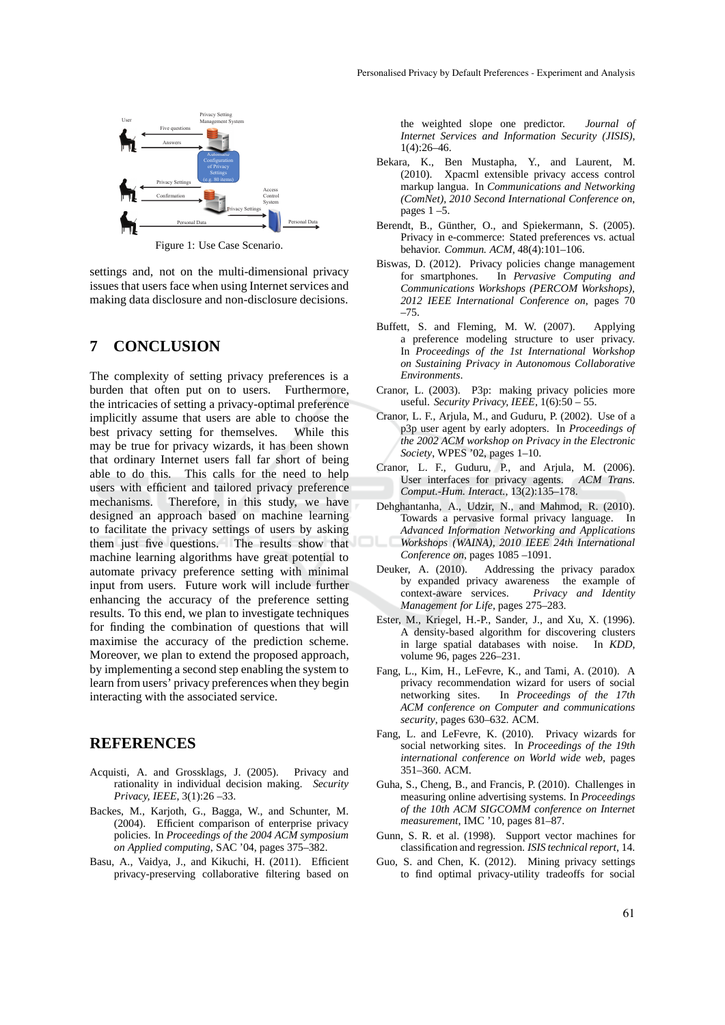

Figure 1: Use Case Scenario.

settings and, not on the multi-dimensional privacy issues that users face when using Internet services and making data disclosure and non-disclosure decisions.

#### **7 CONCLUSION**

The complexity of setting privacy preferences is a burden that often put on to users. Furthermore, the intricacies of setting a privacy-optimal preference implicitly assume that users are able to choose the best privacy setting for themselves. While this may be true for privacy wizards, it has been shown that ordinary Internet users fall far short of being able to do this. This calls for the need to help users with efficient and tailored privacy preference mechanisms. Therefore, in this study, we have designed an approach based on machine learning to facilitate the privacy settings of users by asking them just five questions. The results show that machine learning algorithms have great potential to automate privacy preference setting with minimal input from users. Future work will include further enhancing the accuracy of the preference setting results. To this end, we plan to investigate techniques for finding the combination of questions that will maximise the accuracy of the prediction scheme. Moreover, we plan to extend the proposed approach, by implementing a second step enabling the system to learn from users' privacy preferences when they begin interacting with the associated service.

#### **REFERENCES**

- Acquisti, A. and Grossklags, J. (2005). Privacy and rationality in individual decision making. *Security Privacy, IEEE*, 3(1):26 –33.
- Backes, M., Karjoth, G., Bagga, W., and Schunter, M. (2004). Efficient comparison of enterprise privacy policies. In *Proceedings of the 2004 ACM symposium on Applied computing*, SAC '04, pages 375–382.
- Basu, A., Vaidya, J., and Kikuchi, H. (2011). Efficient privacy-preserving collaborative filtering based on

the weighted slope one predictor. *Journal of Internet Services and Information Security (JISIS)*, 1(4):26–46.

- Bekara, K., Ben Mustapha, Y., and Laurent, M. (2010). Xpacml extensible privacy access control markup langua. In *Communications and Networking (ComNet), 2010 Second International Conference on*, pages  $1 - 5$ .
- Berendt, B., Günther, O., and Spiekermann, S. (2005). Privacy in e-commerce: Stated preferences vs. actual behavior. *Commun. ACM*, 48(4):101–106.
- Biswas, D. (2012). Privacy policies change management<br>for smartphones. In Pervasive Computing and In *Pervasive Computing and Communications Workshops (PERCOM Workshops), 2012 IEEE International Conference on*, pages 70 –75.
- Buffett, S. and Fleming, M. W. (2007). Applying a preference modeling structure to user privacy. In *Proceedings of the 1st International Workshop on Sustaining Privacy in Autonomous Collaborative Environments*.
- Cranor, L. (2003). P3p: making privacy policies more useful. *Security Privacy, IEEE*, 1(6):50 – 55.
- Cranor, L. F., Arjula, M., and Guduru, P. (2002). Use of a p3p user agent by early adopters. In *Proceedings of the 2002 ACM workshop on Privacy in the Electronic Society*, WPES '02, pages 1–10.
- Cranor, L. F., Guduru, P., and Arjula, M. (2006). User interfaces for privacy agents. *ACM Trans. Comput.-Hum. Interact.*, 13(2):135–178.
- Dehghantanha, A., Udzir, N., and Mahmod, R. (2010). Towards a pervasive formal privacy language. In *Advanced Information Networking and Applications Workshops (WAINA), 2010 IEEE 24th International Conference on*, pages 1085 –1091.
- Deuker, A. (2010). Addressing the privacy paradox by expanded privacy awareness the example of context-aware services. *Privacy and Identity Management for Life*, pages 275–283.
- Ester, M., Kriegel, H.-P., Sander, J., and Xu, X. (1996). A density-based algorithm for discovering clusters in large spatial databases with noise. In *KDD*, volume 96, pages 226–231.
- Fang, L., Kim, H., LeFevre, K., and Tami, A. (2010). A privacy recommendation wizard for users of social networking sites. In *Proceedings of the 17th ACM conference on Computer and communications security*, pages 630–632. ACM.
- Fang, L. and LeFevre, K. (2010). Privacy wizards for social networking sites. In *Proceedings of the 19th international conference on World wide web*, pages 351–360. ACM.
- Guha, S., Cheng, B., and Francis, P. (2010). Challenges in measuring online advertising systems. In *Proceedings of the 10th ACM SIGCOMM conference on Internet measurement*, IMC '10, pages 81–87.
- Gunn, S. R. et al. (1998). Support vector machines for classification and regression. *ISIS technical report*, 14.
- Guo, S. and Chen, K. (2012). Mining privacy settings to find optimal privacy-utility tradeoffs for social